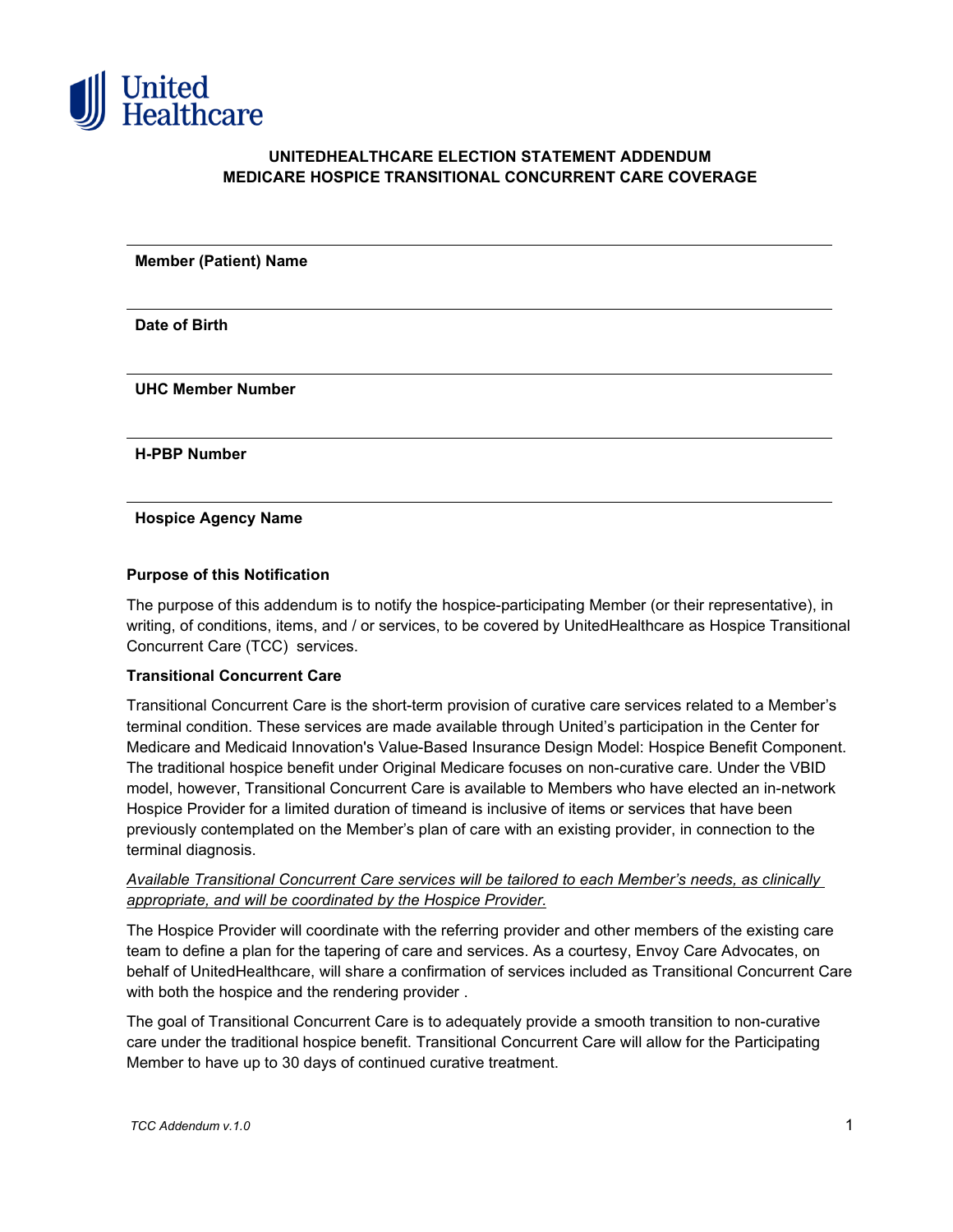

## **UNITEDHEALTHCARE ELECTION STATEMENT ADDENDUM MEDICARE HOSPICE TRANSITIONAL CONCURRENT CARE COVERAGE**

**Member (Patient) Name**

**Date of Birth**

**UHC Member Number**

**H-PBP Number**

**Hospice Agency Name**

#### **Purpose of this Notification**

The purpose of this addendum is to notify the hospice-participating Member (or their representative), in writing, of conditions, items, and / or services, to be covered by UnitedHealthcare as Hospice Transitional Concurrent Care (TCC) services.

#### **Transitional Concurrent Care**

Transitional Concurrent Care is the short-term provision of curative care services related to a Member's terminal condition. These services are made available through United's participation in the Center for Medicare and Medicaid Innovation's Value-Based Insurance Design Model: Hospice Benefit Component. The traditional hospice benefit under Original Medicare focuses on non-curative care. Under the VBID model, however, Transitional Concurrent Care is available to Members who have elected an in-network Hospice Provider for a limited duration of timeand is inclusive of items or services that have been previously contemplated on the Member's plan of care with an existing provider, in connection to the terminal diagnosis.

#### *Available Transitional Concurrent Care services will be tailored to each Member's needs, as clinically appropriate, and will be coordinated by the Hospice Provider.*

The Hospice Provider will coordinate with the referring provider and other members of the existing care team to define a plan for the tapering of care and services. As a courtesy, Envoy Care Advocates, on behalf of UnitedHealthcare, will share a confirmation of services included as Transitional Concurrent Care with both the hospice and the rendering provider .

The goal of Transitional Concurrent Care is to adequately provide a smooth transition to non-curative care under the traditional hospice benefit. Transitional Concurrent Care will allow for the Participating Member to have up to 30 days of continued curative treatment.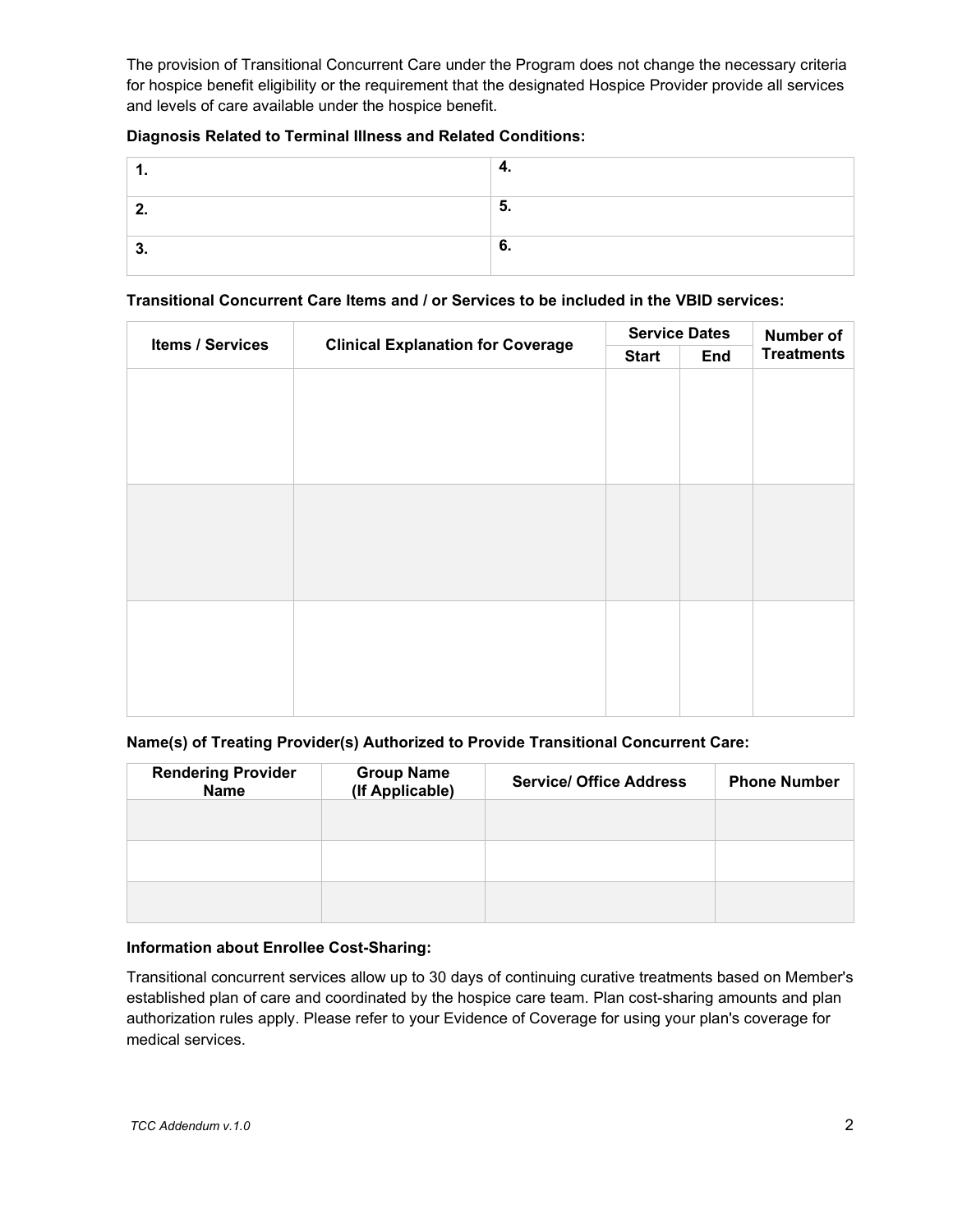The provision of Transitional Concurrent Care under the Program does not change the necessary criteria for hospice benefit eligibility or the requirement that the designated Hospice Provider provide all services and levels of care available under the hospice benefit.

# **Diagnosis Related to Terminal Illness and Related Conditions:**

# **Transitional Concurrent Care Items and / or Services to be included in the VBID services:**

| <b>Clinical Explanation for Coverage</b><br>Items / Services | <b>Service Dates</b> |     | Number of         |  |
|--------------------------------------------------------------|----------------------|-----|-------------------|--|
|                                                              | <b>Start</b>         | End | <b>Treatments</b> |  |
|                                                              |                      |     |                   |  |
|                                                              |                      |     |                   |  |
|                                                              |                      |     |                   |  |
|                                                              |                      |     |                   |  |
|                                                              |                      |     |                   |  |
|                                                              |                      |     |                   |  |
|                                                              |                      |     |                   |  |
|                                                              |                      |     |                   |  |
|                                                              |                      |     |                   |  |
|                                                              |                      |     |                   |  |
|                                                              |                      |     |                   |  |
|                                                              |                      |     |                   |  |
|                                                              |                      |     |                   |  |
|                                                              |                      |     |                   |  |
|                                                              |                      |     |                   |  |

## **Name(s) of Treating Provider(s) Authorized to Provide Transitional Concurrent Care:**

| <b>Rendering Provider</b><br><b>Name</b> | <b>Group Name</b><br>(If Applicable) | <b>Service/ Office Address</b> | <b>Phone Number</b> |
|------------------------------------------|--------------------------------------|--------------------------------|---------------------|
|                                          |                                      |                                |                     |
|                                          |                                      |                                |                     |
|                                          |                                      |                                |                     |

## **Information about Enrollee Cost-Sharing:**

Transitional concurrent services allow up to 30 days of continuing curative treatments based on Member's established plan of care and coordinated by the hospice care team. Plan cost-sharing amounts and plan authorization rules apply. Please refer to your Evidence of Coverage for using your plan's coverage for medical services.